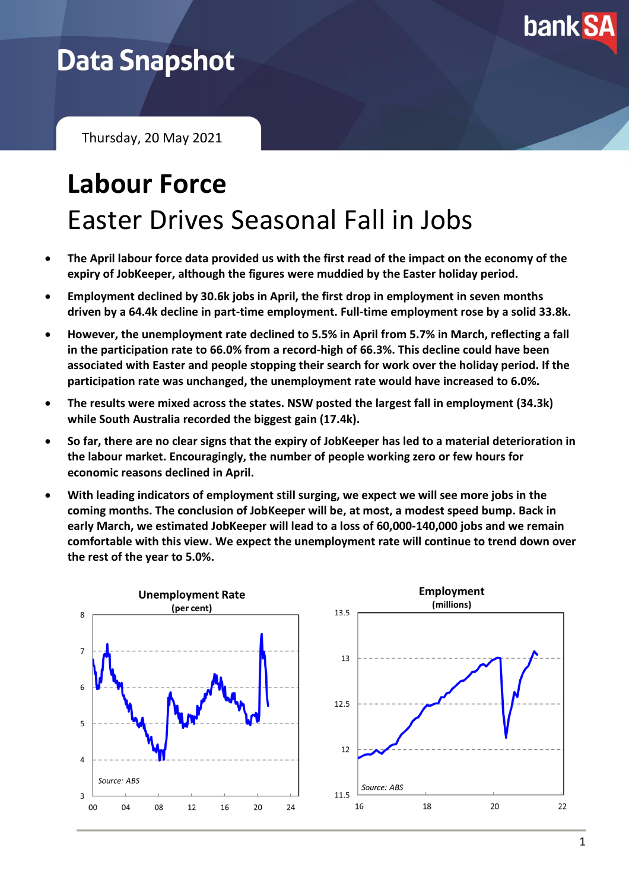

## **Data Snapshot**

Thursday, 20 May 2021

# **Labour Force** Easter Drives Seasonal Fall in Jobs

- **The April labour force data provided us with the first read of the impact on the economy of the expiry of JobKeeper, although the figures were muddied by the Easter holiday period.**
- **Employment declined by 30.6k jobs in April, the first drop in employment in seven months driven by a 64.4k decline in part-time employment. Full-time employment rose by a solid 33.8k.**
- **However, the unemployment rate declined to 5.5% in April from 5.7% in March, reflecting a fall in the participation rate to 66.0% from a record-high of 66.3%. This decline could have been associated with Easter and people stopping their search for work over the holiday period. If the participation rate was unchanged, the unemployment rate would have increased to 6.0%.**
- **The results were mixed across the states. NSW posted the largest fall in employment (34.3k) while South Australia recorded the biggest gain (17.4k).**
- **So far, there are no clear signs that the expiry of JobKeeper has led to a material deterioration in the labour market. Encouragingly, the number of people working zero or few hours for economic reasons declined in April.**
- **With leading indicators of employment still surging, we expect we will see more jobs in the coming months. The conclusion of JobKeeper will be, at most, a modest speed bump. Back in early March, we estimated JobKeeper will lead to a loss of 60,000-140,000 jobs and we remain comfortable with this view. We expect the unemployment rate will continue to trend down over the rest of the year to 5.0%.**

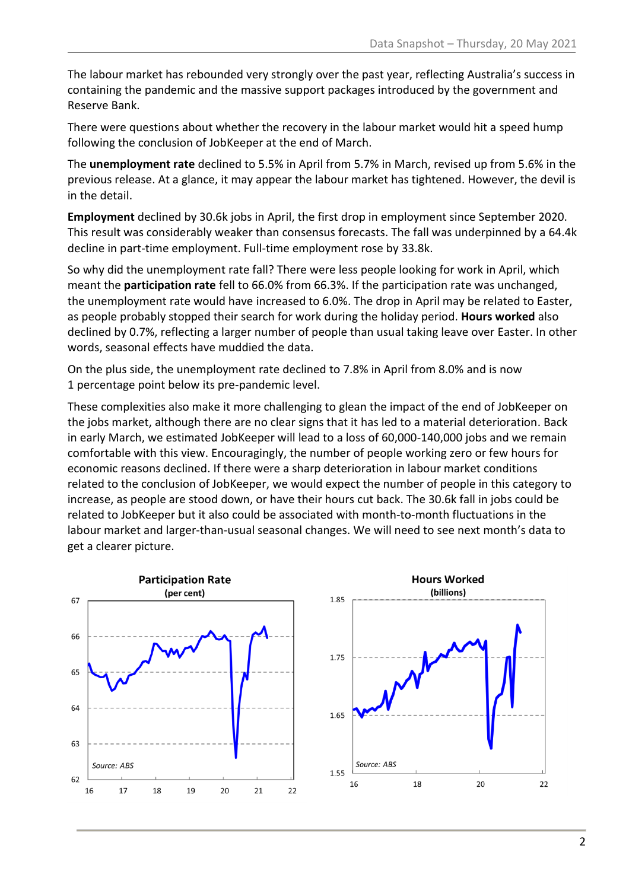The labour market has rebounded very strongly over the past year, reflecting Australia's success in containing the pandemic and the massive support packages introduced by the government and Reserve Bank.

There were questions about whether the recovery in the labour market would hit a speed hump following the conclusion of JobKeeper at the end of March.

The **unemployment rate** declined to 5.5% in April from 5.7% in March, revised up from 5.6% in the previous release. At a glance, it may appear the labour market has tightened. However, the devil is in the detail.

**Employment** declined by 30.6k jobs in April, the first drop in employment since September 2020. This result was considerably weaker than consensus forecasts. The fall was underpinned by a 64.4k decline in part-time employment. Full-time employment rose by 33.8k.

So why did the unemployment rate fall? There were less people looking for work in April, which meant the **participation rate** fell to 66.0% from 66.3%. If the participation rate was unchanged, the unemployment rate would have increased to 6.0%. The drop in April may be related to Easter, as people probably stopped their search for work during the holiday period. **Hours worked** also declined by 0.7%, reflecting a larger number of people than usual taking leave over Easter. In other words, seasonal effects have muddied the data.

On the plus side, the unemployment rate declined to 7.8% in April from 8.0% and is now 1 percentage point below its pre-pandemic level.

These complexities also make it more challenging to glean the impact of the end of JobKeeper on the jobs market, although there are no clear signs that it has led to a material deterioration. Back in early March, we estimated JobKeeper will lead to a loss of 60,000-140,000 jobs and we remain comfortable with this view. Encouragingly, the number of people working zero or few hours for economic reasons declined. If there were a sharp deterioration in labour market conditions related to the conclusion of JobKeeper, we would expect the number of people in this category to increase, as people are stood down, or have their hours cut back. The 30.6k fall in jobs could be related to JobKeeper but it also could be associated with month-to-month fluctuations in the labour market and larger-than-usual seasonal changes. We will need to see next month's data to get a clearer picture.

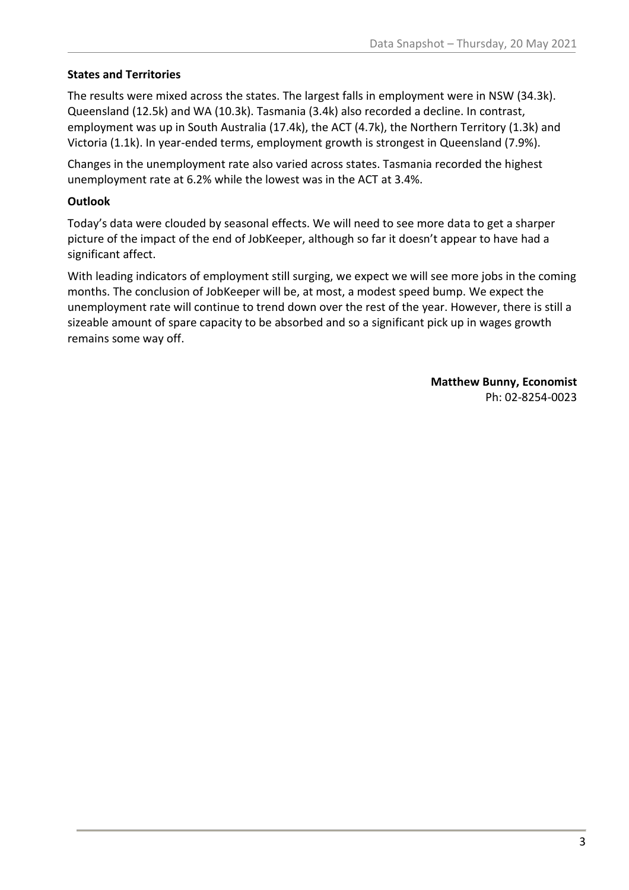#### **States and Territories**

The results were mixed across the states. The largest falls in employment were in NSW (34.3k). Queensland (12.5k) and WA (10.3k). Tasmania (3.4k) also recorded a decline. In contrast, employment was up in South Australia (17.4k), the ACT (4.7k), the Northern Territory (1.3k) and Victoria (1.1k). In year-ended terms, employment growth is strongest in Queensland (7.9%).

Changes in the unemployment rate also varied across states. Tasmania recorded the highest unemployment rate at 6.2% while the lowest was in the ACT at 3.4%.

#### **Outlook**

Today's data were clouded by seasonal effects. We will need to see more data to get a sharper picture of the impact of the end of JobKeeper, although so far it doesn't appear to have had a significant affect.

With leading indicators of employment still surging, we expect we will see more jobs in the coming months. The conclusion of JobKeeper will be, at most, a modest speed bump. We expect the unemployment rate will continue to trend down over the rest of the year. However, there is still a sizeable amount of spare capacity to be absorbed and so a significant pick up in wages growth remains some way off.

> **Matthew Bunny, Economist** Ph: 02-8254-0023